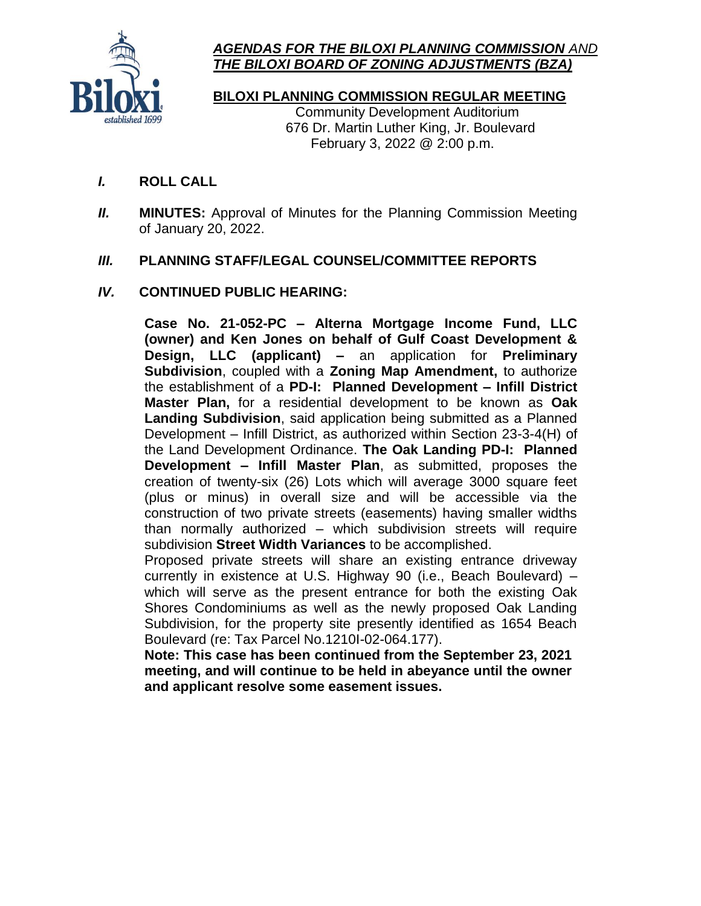

# *AGENDAS FOR THE BILOXI PLANNING COMMISSION AND THE BILOXI BOARD OF ZONING ADJUSTMENTS (BZA)*

**BILOXI PLANNING COMMISSION REGULAR MEETING**

Community Development Auditorium 676 Dr. Martin Luther King, Jr. Boulevard February 3, 2022 @ 2:00 p.m.

- I. **ROLL CALL**
- II. **MINUTES:** Approval of Minutes for the Planning Commission Meeting of January 20, 2022.

## III. **PLANNING STAFF/LEGAL COUNSEL/COMMITTEE REPORTS**

## IV. **CONTINUED PUBLIC HEARING:**

**Case No. 21-052-PC – Alterna Mortgage Income Fund, LLC (owner) and Ken Jones on behalf of Gulf Coast Development & Design, LLC (applicant) –** an application for **Preliminary Subdivision**, coupled with a **Zoning Map Amendment,** to authorize the establishment of a **PD-I: Planned Development – Infill District Master Plan,** for a residential development to be known as **Oak Landing Subdivision**, said application being submitted as a Planned Development – Infill District, as authorized within Section 23-3-4(H) of the Land Development Ordinance. **The Oak Landing PD-I: Planned Development – Infill Master Plan**, as submitted, proposes the creation of twenty-six (26) Lots which will average 3000 square feet (plus or minus) in overall size and will be accessible via the construction of two private streets (easements) having smaller widths than normally authorized – which subdivision streets will require subdivision **Street Width Variances** to be accomplished.

Proposed private streets will share an existing entrance driveway currently in existence at U.S. Highway 90 (i.e., Beach Boulevard) – which will serve as the present entrance for both the existing Oak Shores Condominiums as well as the newly proposed Oak Landing Subdivision, for the property site presently identified as 1654 Beach Boulevard (re: Tax Parcel No.1210I-02-064.177).

**Note: This case has been continued from the September 23, 2021 meeting, and will continue to be held in abeyance until the owner and applicant resolve some easement issues.**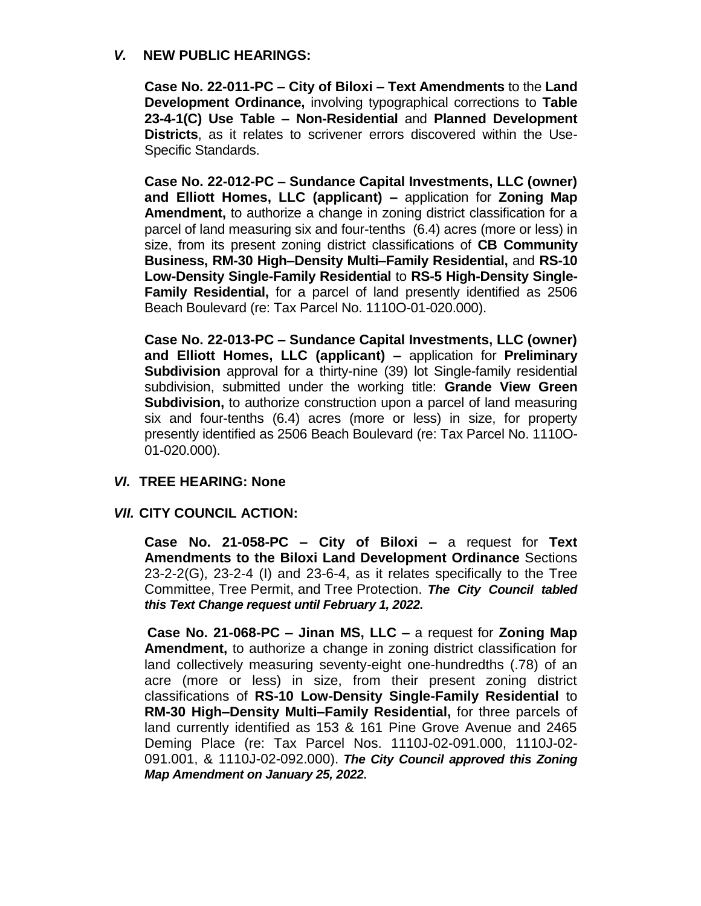### V. **NEW PUBLIC HEARINGS:**

**Case No. 22-011-PC – City of Biloxi – Text Amendments** to the **Land Development Ordinance,** involving typographical corrections to **Table 23-4-1(C) Use Table – Non-Residential** and **Planned Development Districts**, as it relates to scrivener errors discovered within the Use-Specific Standards.

**Case No. 22-012-PC – Sundance Capital Investments, LLC (owner) and Elliott Homes, LLC (applicant) –** application for **Zoning Map Amendment,** to authorize a change in zoning district classification for a parcel of land measuring six and four-tenths (6.4) acres (more or less) in size, from its present zoning district classifications of **CB Community Business, RM-30 High–Density Multi–Family Residential,** and **RS-10 Low-Density Single-Family Residential** to **RS-5 High-Density Single-Family Residential,** for a parcel of land presently identified as 2506 Beach Boulevard (re: Tax Parcel No. 1110O-01-020.000).

**Case No. 22-013-PC – Sundance Capital Investments, LLC (owner) and Elliott Homes, LLC (applicant) –** application for **Preliminary Subdivision** approval for a thirty-nine (39) lot Single-family residential subdivision, submitted under the working title: **Grande View Green Subdivision,** to authorize construction upon a parcel of land measuring six and four-tenths (6.4) acres (more or less) in size, for property presently identified as 2506 Beach Boulevard (re: Tax Parcel No. 1110O-01-020.000).

### VI. **TREE HEARING: None**

### VII. **CITY COUNCIL ACTION:**

**Case No. 21-058-PC – City of Biloxi –** a request for **Text Amendments to the Biloxi Land Development Ordinance** Sections 23-2-2(G), 23-2-4 (I) and 23-6-4, as it relates specifically to the Tree Committee, Tree Permit, and Tree Protection. *The City Council tabled this Text Change request until February 1, 2022***.**

**Case No. 21-068-PC – Jinan MS, LLC –** a request for **Zoning Map Amendment,** to authorize a change in zoning district classification for land collectively measuring seventy-eight one-hundredths (.78) of an acre (more or less) in size, from their present zoning district classifications of **RS-10 Low-Density Single-Family Residential** to **RM-30 High–Density Multi–Family Residential,** for three parcels of land currently identified as 153 & 161 Pine Grove Avenue and 2465 Deming Place (re: Tax Parcel Nos. 1110J-02-091.000, 1110J-02- 091.001, & 1110J-02-092.000). *The City Council approved this Zoning Map Amendment on January 25, 2022***.**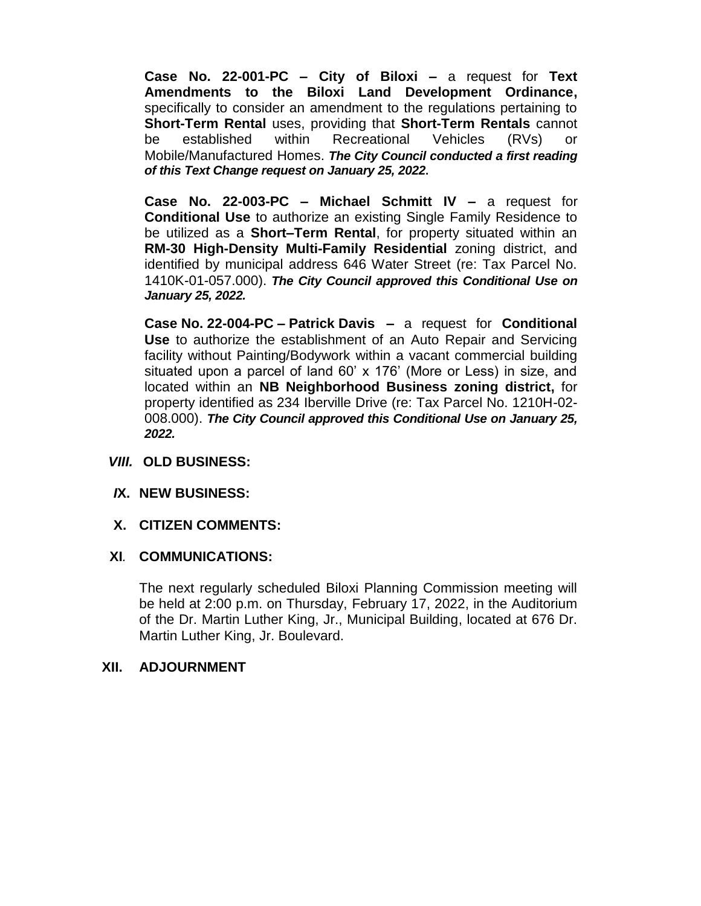**Case No. 22-001-PC – City of Biloxi –** a request for **Text Amendments to the Biloxi Land Development Ordinance,** specifically to consider an amendment to the regulations pertaining to **Short-Term Rental** uses, providing that **Short-Term Rentals** cannot be established within Recreational Vehicles (RVs) or Mobile/Manufactured Homes. *The City Council conducted a first reading of this Text Change request on January 25, 2022***.**

**Case No. 22-003-PC – Michael Schmitt IV –** a request for **Conditional Use** to authorize an existing Single Family Residence to be utilized as a **Short–Term Rental**, for property situated within an **RM-30 High-Density Multi-Family Residential** zoning district, and identified by municipal address 646 Water Street (re: Tax Parcel No. 1410K-01-057.000). *The City Council approved this Conditional Use on January 25, 2022.*

**Case No. 22-004-PC – Patrick Davis –** a request for **Conditional Use** to authorize the establishment of an Auto Repair and Servicing facility without Painting/Bodywork within a vacant commercial building situated upon a parcel of land 60' x 176' (More or Less) in size, and located within an **NB Neighborhood Business zoning district,** for property identified as 234 Iberville Drive (re: Tax Parcel No. 1210H-02- 008.000). *The City Council approved this Conditional Use on January 25, 2022.*

### VIII. **OLD BUSINESS:**

### *I***X. NEW BUSINESS:**

### **X. CITIZEN COMMENTS:**

### **XI***.* **COMMUNICATIONS:**

The next regularly scheduled Biloxi Planning Commission meeting will be held at 2:00 p.m. on Thursday, February 17, 2022, in the Auditorium of the Dr. Martin Luther King, Jr., Municipal Building, located at 676 Dr. Martin Luther King, Jr. Boulevard.

### **XII. ADJOURNMENT**